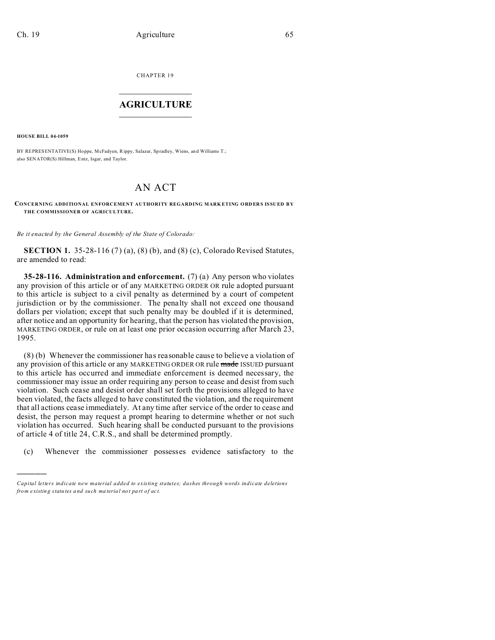CHAPTER 19  $\overline{\phantom{a}}$  , where  $\overline{\phantom{a}}$ 

## **AGRICULTURE**  $\_$   $\_$   $\_$   $\_$   $\_$   $\_$   $\_$   $\_$

**HOUSE BILL 04-1059**

)))))

BY REPRESENTATIVE(S) Ho ppe, McFadyen, Rippy, Salazar, Sp radley, Wiens, and Williams T.; also SENATOR(S) Hillman, Entz, Isgar, and Taylor.

## AN ACT

**CONCERNING ADDITIONAL ENFORCEMENT AUTHORITY REGARDING MARKETING ORDERS ISSUED BY THE COMMISSIONER OF AGRICULTURE.**

*Be it enacted by the General Assembly of the State of Colorado:*

**SECTION 1.** 35-28-116 (7) (a), (8) (b), and (8) (c), Colorado Revised Statutes, are amended to read:

**35-28-116. Administration and enforcement.** (7) (a) Any person who violates any provision of this article or of any MARKETING ORDER OR rule adopted pursuant to this article is subject to a civil penalty as determined by a court of competent jurisdiction or by the commissioner. The penalty shall not exceed one thousand dollars per violation; except that such penalty may be doubled if it is determined, after notice and an opportunity for hearing, that the person has violated the provision, MARKETING ORDER, or rule on at least one prior occasion occurring after March 23, 1995.

(8) (b) Whenever the commissioner has reasonable cause to believe a violation of any provision of this article or any MARKETING ORDER OR rule made ISSUED pursuant to this article has occurred and immediate enforcement is deemed necessary, the commissioner may issue an order requiring any person to cease and desist from such violation. Such cease and desist order shall set forth the provisions alleged to have been violated, the facts alleged to have constituted the violation, and the requirement that all actions cease immediately. At any time after service of the order to cease and desist, the person may request a prompt hearing to determine whether or not such violation has occurred. Such hearing shall be conducted pursuant to the provisions of article 4 of title 24, C.R.S., and shall be determined promptly.

(c) Whenever the commissioner possesses evidence satisfactory to the

*Capital letters indicate new material added to existing statutes; dashes through words indicate deletions from e xistin g statu tes a nd such ma teria l no t pa rt of ac t.*